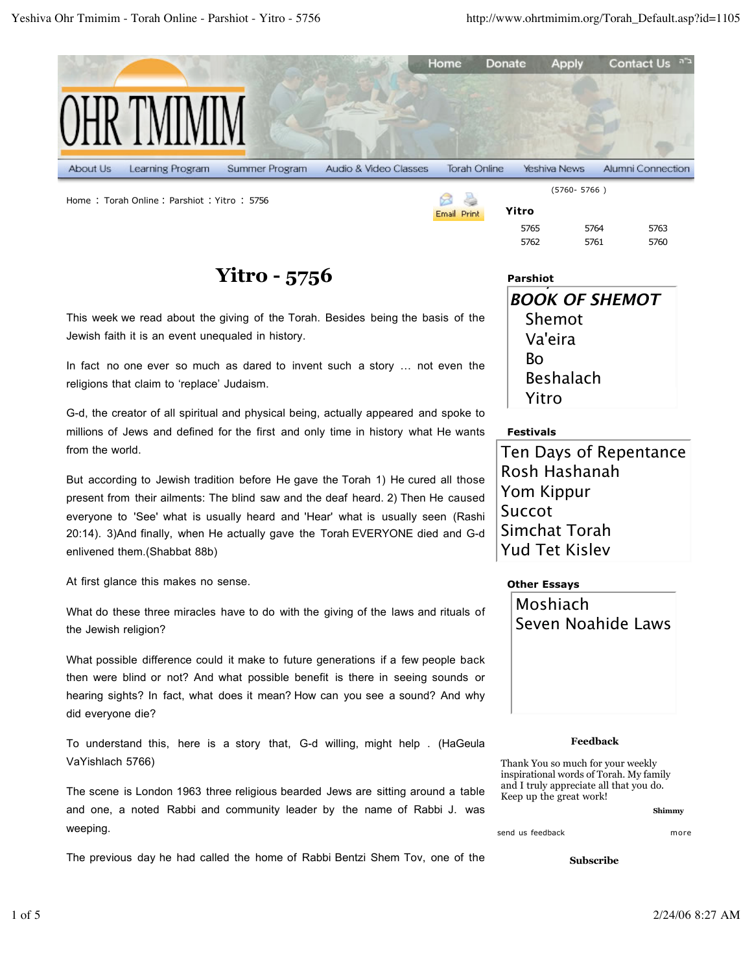

Home : Torah Online : Parshiot : Yitro : <sup>5756</sup>

## **Yitro - 5756**

This week we read about the giving of the Torah. Besides being the basis of the Jewish faith it is an event unequaled in history.

In fact no one ever so much as dared to invent such a story … not even the religions that claim to 'replace' Judaism.

G-d, the creator of all spiritual and physical being, actually appeared and spoke to millions of Jews and defined for the first and only time in history what He wants from the world.

But according to Jewish tradition before He gave the Torah 1) He cured all those present from their ailments: The blind saw and the deaf heard. 2) Then He caused everyone to 'See' what is usually heard and 'Hear' what is usually seen (Rashi 20:14). 3)And finally, when He actually gave the Torah EVERYONE died and G-d enlivened them.(Shabbat 88b)

At first glance this makes no sense.

What do these three miracles have to do with the giving of the laws and rituals of the Jewish religion?

What possible difference could it make to future generations if a few people back then were blind or not? And what possible benefit is there in seeing sounds or hearing sights? In fact, what does it mean? How can you see a sound? And why did everyone die?

To understand this, here is a story that, G-d willing, might help . (HaGeula VaYishlach 5766)

The scene is London 1963 three religious bearded Jews are sitting around a table and one, a noted Rabbi and community leader by the name of Rabbi J. was weeping.

The previous day he had called the home of Rabbi Bentzi Shem Tov, one of the

| Parshiot |                       |
|----------|-----------------------|
|          | <b>BOOK OF SHEMOT</b> |
|          | Shemot                |
|          | Va'eira               |
|          | Bо                    |
|          | <b>Beshalach</b>      |
|          | Yitro                 |

5765 5764 5763 5762 5761 5760

## **Festivals**

**Yitro**

Email Print

Ten Days of Repentance Rosh Hashanah Yom Kippur Succot Simchat Torah Yud Tet Kislev

## **Other Essays**



## **Feedback**

Thank You so much for your weekly inspirational words of Torah. My family and I truly appreciate all that you do. Keep up the great work!

**Shimmy**

send us feedback more

**Subscribe**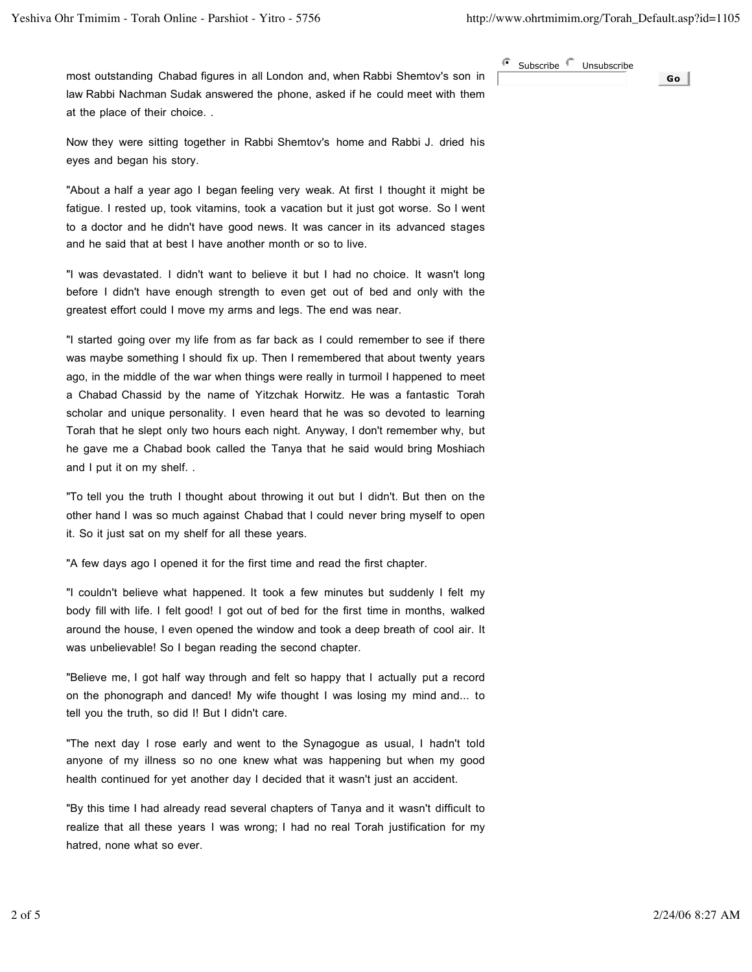most outstanding Chabad figures in all London and, when Rabbi Shemtov's son in law Rabbi Nachman Sudak answered the phone, asked if he could meet with them at the place of their choice. .

G Subscribe **Unsubscribe Go**

Now they were sitting together in Rabbi Shemtov's home and Rabbi J. dried his eyes and began his story.

"About a half a year ago I began feeling very weak. At first I thought it might be fatigue. I rested up, took vitamins, took a vacation but it just got worse. So I went to a doctor and he didn't have good news. It was cancer in its advanced stages and he said that at best I have another month or so to live.

"I was devastated. I didn't want to believe it but I had no choice. It wasn't long before I didn't have enough strength to even get out of bed and only with the greatest effort could I move my arms and legs. The end was near.

"I started going over my life from as far back as I could remember to see if there was maybe something I should fix up. Then I remembered that about twenty years ago, in the middle of the war when things were really in turmoil I happened to meet a Chabad Chassid by the name of Yitzchak Horwitz. He was a fantastic Torah scholar and unique personality. I even heard that he was so devoted to learning Torah that he slept only two hours each night. Anyway, I don't remember why, but he gave me a Chabad book called the Tanya that he said would bring Moshiach and I put it on my shelf. .

"To tell you the truth I thought about throwing it out but I didn't. But then on the other hand I was so much against Chabad that I could never bring myself to open it. So it just sat on my shelf for all these years.

"A few days ago I opened it for the first time and read the first chapter.

"I couldn't believe what happened. It took a few minutes but suddenly I felt my body fill with life. I felt good! I got out of bed for the first time in months, walked around the house, I even opened the window and took a deep breath of cool air. It was unbelievable! So I began reading the second chapter.

"Believe me, I got half way through and felt so happy that I actually put a record on the phonograph and danced! My wife thought I was losing my mind and... to tell you the truth, so did I! But I didn't care.

"The next day I rose early and went to the Synagogue as usual, I hadn't told anyone of my illness so no one knew what was happening but when my good health continued for yet another day I decided that it wasn't just an accident.

"By this time I had already read several chapters of Tanya and it wasn't difficult to realize that all these years I was wrong; I had no real Torah justification for my hatred, none what so ever.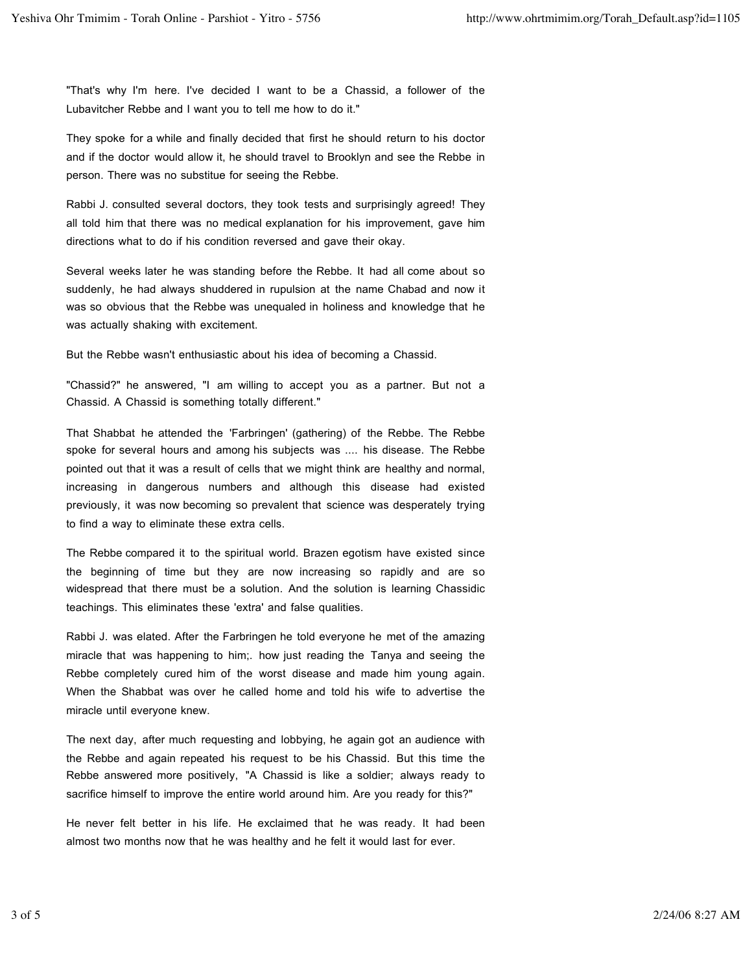"That's why I'm here. I've decided I want to be a Chassid, a follower of the Lubavitcher Rebbe and I want you to tell me how to do it."

They spoke for a while and finally decided that first he should return to his doctor and if the doctor would allow it, he should travel to Brooklyn and see the Rebbe in person. There was no substitue for seeing the Rebbe.

Rabbi J. consulted several doctors, they took tests and surprisingly agreed! They all told him that there was no medical explanation for his improvement, gave him directions what to do if his condition reversed and gave their okay.

Several weeks later he was standing before the Rebbe. It had all come about so suddenly, he had always shuddered in rupulsion at the name Chabad and now it was so obvious that the Rebbe was unequaled in holiness and knowledge that he was actually shaking with excitement.

But the Rebbe wasn't enthusiastic about his idea of becoming a Chassid.

"Chassid?" he answered, "I am willing to accept you as a partner. But not a Chassid. A Chassid is something totally different."

That Shabbat he attended the 'Farbringen' (gathering) of the Rebbe. The Rebbe spoke for several hours and among his subjects was .... his disease. The Rebbe pointed out that it was a result of cells that we might think are healthy and normal, increasing in dangerous numbers and although this disease had existed previously, it was now becoming so prevalent that science was desperately trying to find a way to eliminate these extra cells.

The Rebbe compared it to the spiritual world. Brazen egotism have existed since the beginning of time but they are now increasing so rapidly and are so widespread that there must be a solution. And the solution is learning Chassidic teachings. This eliminates these 'extra' and false qualities.

Rabbi J. was elated. After the Farbringen he told everyone he met of the amazing miracle that was happening to him;. how just reading the Tanya and seeing the Rebbe completely cured him of the worst disease and made him young again. When the Shabbat was over he called home and told his wife to advertise the miracle until everyone knew.

The next day, after much requesting and lobbying, he again got an audience with the Rebbe and again repeated his request to be his Chassid. But this time the Rebbe answered more positively, "A Chassid is like a soldier; always ready to sacrifice himself to improve the entire world around him. Are you ready for this?"

He never felt better in his life. He exclaimed that he was ready. It had been almost two months now that he was healthy and he felt it would last for ever.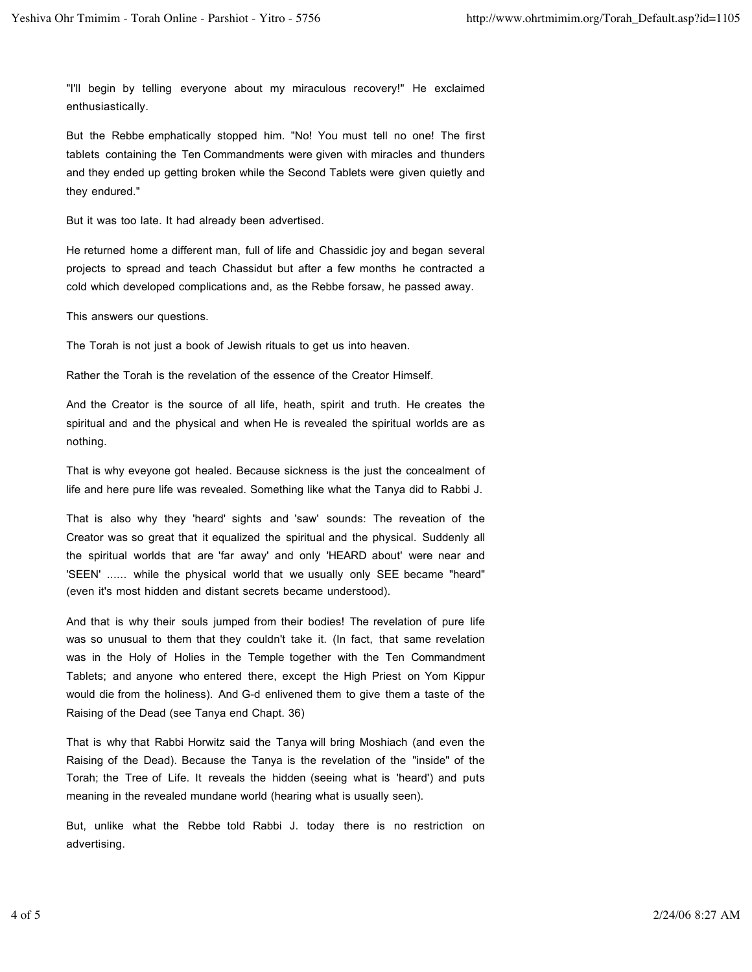"I'll begin by telling everyone about my miraculous recovery!" He exclaimed enthusiastically.

But the Rebbe emphatically stopped him. "No! You must tell no one! The first tablets containing the Ten Commandments were given with miracles and thunders and they ended up getting broken while the Second Tablets were given quietly and they endured."

But it was too late. It had already been advertised.

He returned home a different man, full of life and Chassidic joy and began several projects to spread and teach Chassidut but after a few months he contracted a cold which developed complications and, as the Rebbe forsaw, he passed away.

This answers our questions.

The Torah is not just a book of Jewish rituals to get us into heaven.

Rather the Torah is the revelation of the essence of the Creator Himself.

And the Creator is the source of all life, heath, spirit and truth. He creates the spiritual and and the physical and when He is revealed the spiritual worlds are as nothing.

That is why eveyone got healed. Because sickness is the just the concealment of life and here pure life was revealed. Something like what the Tanya did to Rabbi J.

That is also why they 'heard' sights and 'saw' sounds: The reveation of the Creator was so great that it equalized the spiritual and the physical. Suddenly all the spiritual worlds that are 'far away' and only 'HEARD about' were near and 'SEEN' ...... while the physical world that we usually only SEE became "heard" (even it's most hidden and distant secrets became understood).

And that is why their souls jumped from their bodies! The revelation of pure life was so unusual to them that they couldn't take it. (In fact, that same revelation was in the Holy of Holies in the Temple together with the Ten Commandment Tablets; and anyone who entered there, except the High Priest on Yom Kippur would die from the holiness). And G-d enlivened them to give them a taste of the Raising of the Dead (see Tanya end Chapt. 36)

That is why that Rabbi Horwitz said the Tanya will bring Moshiach (and even the Raising of the Dead). Because the Tanya is the revelation of the "inside" of the Torah; the Tree of Life. It reveals the hidden (seeing what is 'heard') and puts meaning in the revealed mundane world (hearing what is usually seen).

But, unlike what the Rebbe told Rabbi J. today there is no restriction on advertising.